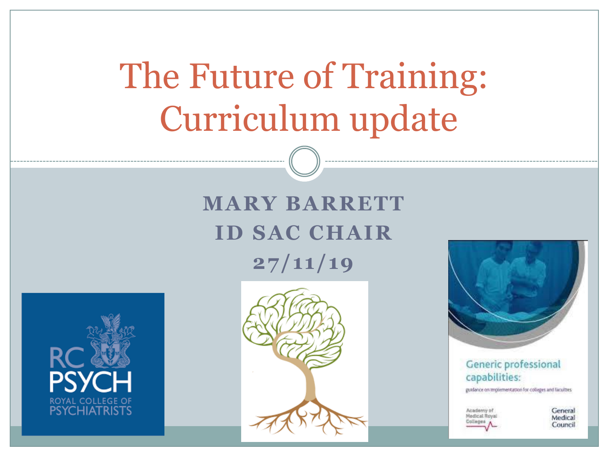# The Future of Training: Curriculum update

### **MARY BARRETT ID SAC CHAIR 27/11/19**







**Generic professional** capabilities:

guidance on implementation for colleges and faculties

Articlenti

General Medical Council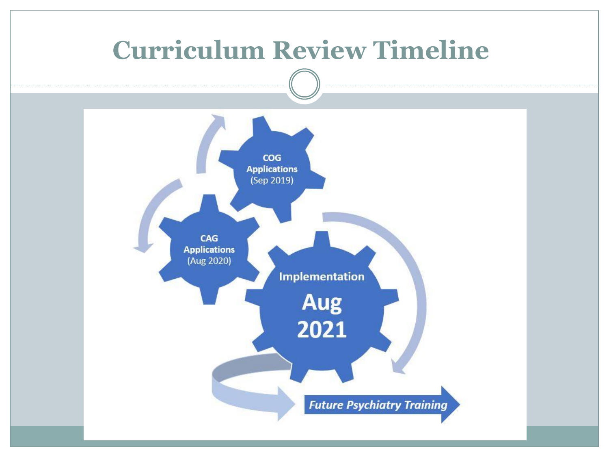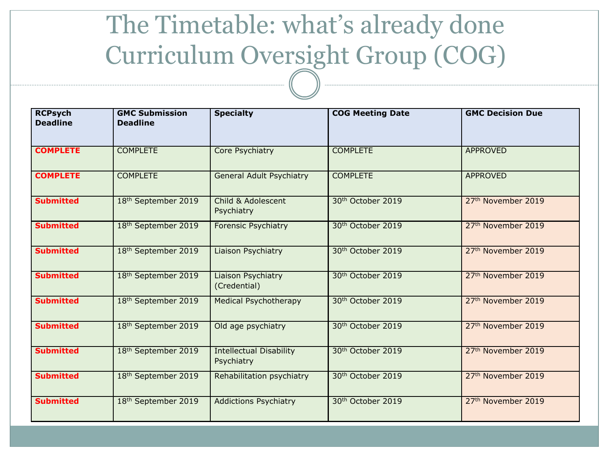### The Timetable: what's already done Curriculum Oversight Group (COG)

| <b>RCPsych</b><br><b>Deadline</b> | <b>GMC Submission</b><br><b>Deadline</b> | <b>COG Meeting Date</b><br><b>Specialty</b>  |                               | <b>GMC Decision Due</b>        |
|-----------------------------------|------------------------------------------|----------------------------------------------|-------------------------------|--------------------------------|
| <b>COMPLETE</b>                   | <b>COMPLETE</b>                          | Core Psychiatry                              | <b>COMPLETE</b>               | <b>APPROVED</b>                |
| <b>COMPLETE</b>                   | <b>COMPLETE</b>                          | <b>General Adult Psychiatry</b>              | <b>COMPLETE</b>               | <b>APPROVED</b>                |
| <b>Submitted</b>                  | 18th September 2019                      | Child & Adolescent<br>Psychiatry             | 30th October 2019             | 27 <sup>th</sup> November 2019 |
| <b>Submitted</b>                  | 18th September 2019                      | <b>Forensic Psychiatry</b>                   | 30th October 2019             | 27th November 2019             |
| <b>Submitted</b>                  | 18th September 2019                      | Liaison Psychiatry                           | 30th October 2019             | 27th November 2019             |
| <b>Submitted</b>                  | 18th September 2019                      | Liaison Psychiatry<br>(Credential)           | 30 <sup>th</sup> October 2019 | 27th November 2019             |
| <b>Submitted</b>                  | 18 <sup>th</sup> September 2019          | <b>Medical Psychotherapy</b>                 | 30 <sup>th</sup> October 2019 | 27 <sup>th</sup> November 2019 |
| <b>Submitted</b>                  | 18 <sup>th</sup> September 2019          | Old age psychiatry                           | 30 <sup>th</sup> October 2019 | 27th November 2019             |
| <b>Submitted</b>                  | 18 <sup>th</sup> September 2019          | <b>Intellectual Disability</b><br>Psychiatry | 30 <sup>th</sup> October 2019 | 27 <sup>th</sup> November 2019 |
| <b>Submitted</b>                  | 18 <sup>th</sup> September 2019          | Rehabilitation psychiatry                    | 30 <sup>th</sup> October 2019 | 27th November 2019             |
| <b>Submitted</b>                  | 18th September 2019                      | <b>Addictions Psychiatry</b>                 | 30 <sup>th</sup> October 2019 | 27 <sup>th</sup> November 2019 |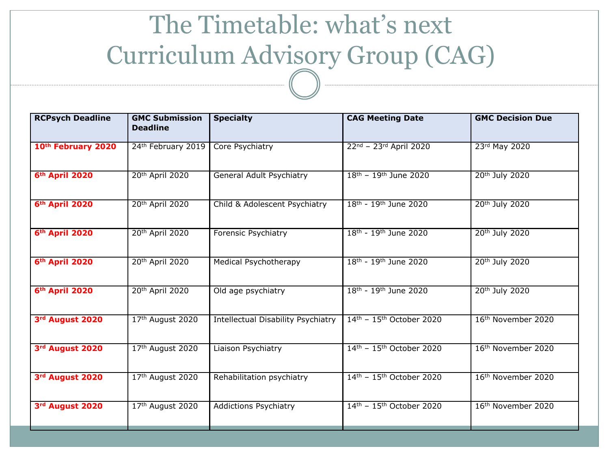## The Timetable: what's next Curriculum Advisory Group (CAG)

| <b>RCPsych Deadline</b>    | <b>GMC Submission</b><br><b>Deadline</b> | <b>Specialty</b>                          | <b>CAG Meeting Date</b>                        | <b>GMC Decision Due</b>        |
|----------------------------|------------------------------------------|-------------------------------------------|------------------------------------------------|--------------------------------|
| 10th February 2020         | 24th February 2019                       | Core Psychiatry                           | 22nd - 23rd April 2020                         | 23rd May 2020                  |
| 6 <sup>th</sup> April 2020 | 20 <sup>th</sup> April 2020              | <b>General Adult Psychiatry</b>           | $18^{th}$ – 19 <sup>th</sup> June 2020         | 20 <sup>th</sup> July 2020     |
| 6th April 2020             | 20th April 2020                          | Child & Adolescent Psychiatry             | 18th - 19th June 2020                          | 20th July 2020                 |
| 6th April 2020             | 20th April 2020                          | Forensic Psychiatry                       | 18th - 19th June 2020                          | 20th July 2020                 |
| 6th April 2020             | 20th April 2020                          | Medical Psychotherapy                     | 18th - 19th June 2020                          | 20th July 2020                 |
| 6 <sup>th</sup> April 2020 | 20 <sup>th</sup> April 2020              | Old age psychiatry                        | $18^{th}$ - 19 <sup>th</sup> June 2020         | 20 <sup>th</sup> July 2020     |
| 3rd August 2020            | 17th August 2020                         | <b>Intellectual Disability Psychiatry</b> | $14th - 15th$ October 2020                     | 16th November 2020             |
| 3rd August 2020            | 17th August 2020                         | Liaison Psychiatry                        | $14th - 15th$ October 2020                     | 16th November 2020             |
| 3rd August 2020            | 17th August 2020                         | Rehabilitation psychiatry                 | 14th - 15th October 2020                       | 16th November 2020             |
| 3rd August 2020            | 17th August 2020                         | <b>Addictions Psychiatry</b>              | $14^{\text{th}} - 15^{\text{th}}$ October 2020 | 16 <sup>th</sup> November 2020 |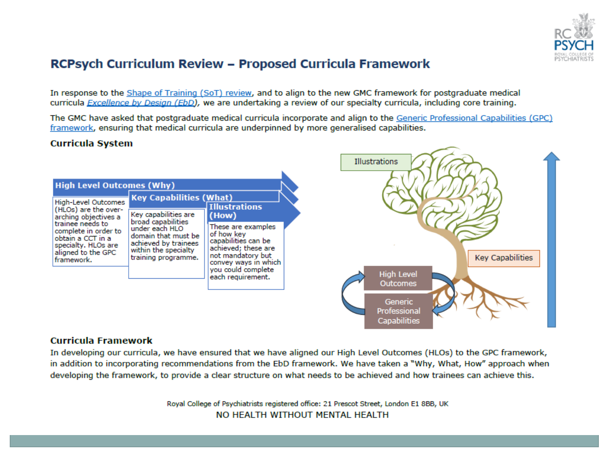

### RCPsych Curriculum Review - Proposed Curricula Framework

In response to the Shape of Training (SoT) review, and to align to the new GMC framework for postgraduate medical curricula Excellence by Design (EbD), we are undertaking a review of our specialty curricula, including core training.

The GMC have asked that postgraduate medical curricula incorporate and align to the Generic Professional Capabilities (GPC) framework, ensuring that medical curricula are underpinned by more generalised capabilities.

#### **Curricula System**



#### **Curricula Framework**

In developing our curricula, we have ensured that we have aligned our High Level Outcomes (HLOs) to the GPC framework, in addition to incorporating recommendations from the EbD framework. We have taken a "Why, What, How" approach when developing the framework, to provide a clear structure on what needs to be achieved and how trainees can achieve this.

> Royal College of Psychiatrists registered office: 21 Prescot Street, London E1 8BB, UK NO HEALTH WITHOUT MENTAL HEALTH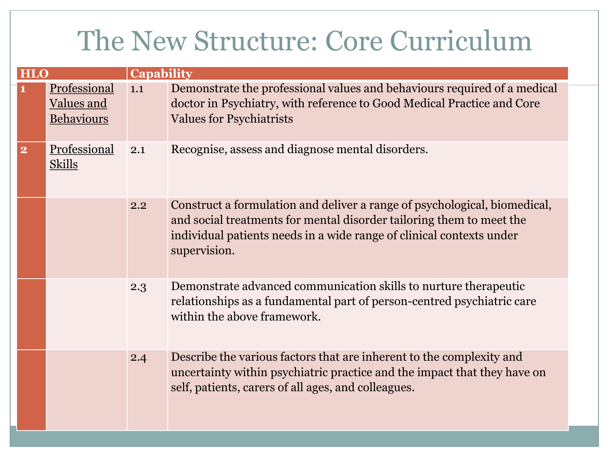## The New Structure: Core Curriculum

| <b>HLO</b>              |                                                 | <b>Capability</b> |                                                                                                                                                                                                                                           |  |  |  |
|-------------------------|-------------------------------------------------|-------------------|-------------------------------------------------------------------------------------------------------------------------------------------------------------------------------------------------------------------------------------------|--|--|--|
|                         | Professional<br><b>Values and</b><br>Behaviours | 1.1               | Demonstrate the professional values and behaviours required of a medical<br>doctor in Psychiatry, with reference to Good Medical Practice and Core<br><b>Values for Psychiatrists</b>                                                     |  |  |  |
| $\overline{\mathbf{2}}$ | Professional<br><b>Skills</b>                   | 2.1               | Recognise, assess and diagnose mental disorders.                                                                                                                                                                                          |  |  |  |
|                         |                                                 | 2.2               | Construct a formulation and deliver a range of psychological, biomedical,<br>and social treatments for mental disorder tailoring them to meet the<br>individual patients needs in a wide range of clinical contexts under<br>supervision. |  |  |  |
|                         |                                                 | 2.3               | Demonstrate advanced communication skills to nurture therapeutic<br>relationships as a fundamental part of person-centred psychiatric care<br>within the above framework.                                                                 |  |  |  |
|                         |                                                 | 2.4               | Describe the various factors that are inherent to the complexity and<br>uncertainty within psychiatric practice and the impact that they have on<br>self, patients, carers of all ages, and colleagues.                                   |  |  |  |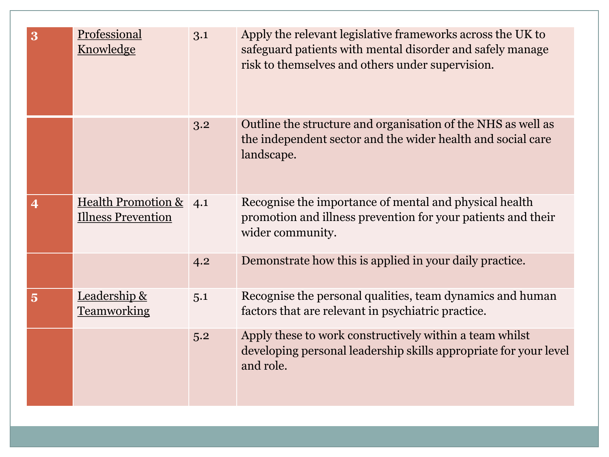| 3                       | Professional<br>Knowledge                                  | 3.1 | Apply the relevant legislative frameworks across the UK to<br>safeguard patients with mental disorder and safely manage<br>risk to themselves and others under supervision. |
|-------------------------|------------------------------------------------------------|-----|-----------------------------------------------------------------------------------------------------------------------------------------------------------------------------|
|                         |                                                            | 3.2 | Outline the structure and organisation of the NHS as well as<br>the independent sector and the wider health and social care<br>landscape.                                   |
| $\overline{\mathbf{4}}$ | <b>Health Promotion &amp;</b><br><b>Illness Prevention</b> | 4.1 | Recognise the importance of mental and physical health<br>promotion and illness prevention for your patients and their<br>wider community.                                  |
|                         |                                                            | 4.2 | Demonstrate how this is applied in your daily practice.                                                                                                                     |
| $\overline{\mathbf{5}}$ | Leadership &<br><b>Teamworking</b>                         | 5.1 | Recognise the personal qualities, team dynamics and human<br>factors that are relevant in psychiatric practice.                                                             |
|                         |                                                            | 5.2 | Apply these to work constructively within a team whilst<br>developing personal leadership skills appropriate for your level<br>and role.                                    |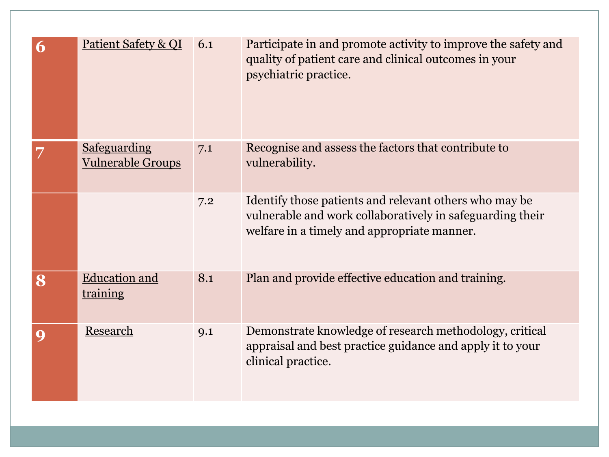| 6 | Patient Safety & QI                             | 6.1 | Participate in and promote activity to improve the safety and<br>quality of patient care and clinical outcomes in your<br>psychiatric practice.                    |
|---|-------------------------------------------------|-----|--------------------------------------------------------------------------------------------------------------------------------------------------------------------|
|   | <b>Safeguarding</b><br><b>Vulnerable Groups</b> | 7.1 | Recognise and assess the factors that contribute to<br>vulnerability.                                                                                              |
|   |                                                 | 7.2 | Identify those patients and relevant others who may be<br>vulnerable and work collaboratively in safeguarding their<br>welfare in a timely and appropriate manner. |
| 8 | <b>Education and</b><br><u>training</u>         | 8.1 | Plan and provide effective education and training.                                                                                                                 |
|   | Research                                        | 9.1 | Demonstrate knowledge of research methodology, critical<br>appraisal and best practice guidance and apply it to your<br>clinical practice.                         |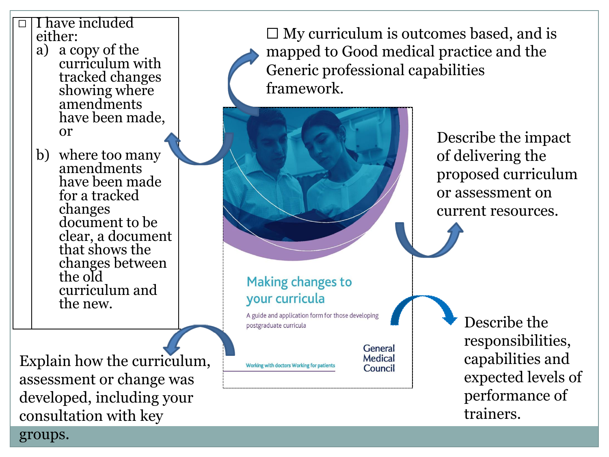### ☐ I have included either:

- a) a copy of the curriculum with tracked changes showing where amendments have been made, or
- b) where too many amendments have been made for a tracked changes document to be clear, a document that shows the changes between the old curriculum and the new.

Explain how the curriculum, assessment or change was developed, including your consultation with key groups.

 $\Box$  My curriculum is outcomes based, and is mapped to Good medical practice and the Generic professional capabilities framework.



A guide and application form for those developing postgraduate curricula

> General Medical

Council

Working with doctors Working for patients

Describe the impact of delivering the proposed curriculum or assessment on current resources.

> Describe the responsibilities, capabilities and expected levels of performance of trainers.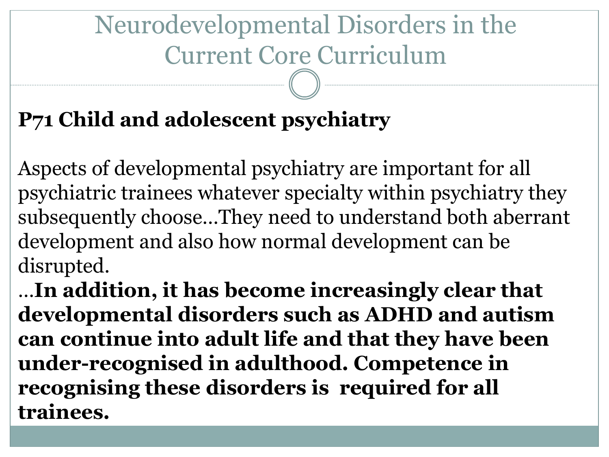# Neurodevelopmental Disorders in the Current Core Curriculum

### **P71 Child and adolescent psychiatry**

Aspects of developmental psychiatry are important for all psychiatric trainees whatever specialty within psychiatry they subsequently choose…They need to understand both aberrant development and also how normal development can be disrupted.

…**In addition, it has become increasingly clear that developmental disorders such as ADHD and autism can continue into adult life and that they have been under-recognised in adulthood. Competence in recognising these disorders is required for all trainees.**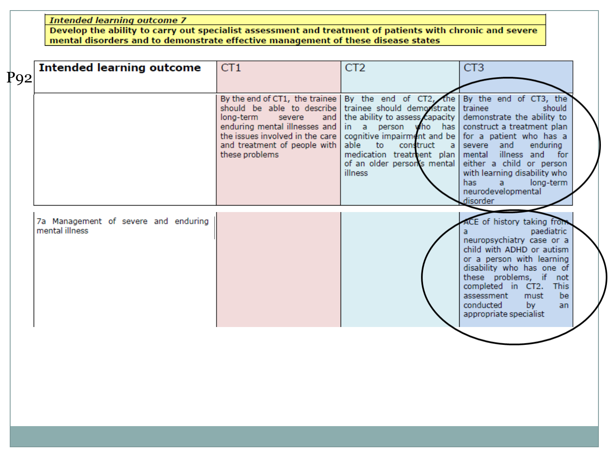**Intended learning outcome 7** 

Develop the ability to carry out specialist assessment and treatment of patients with chronic and severe mental disorders and to demonstrate effective management of these disease states

| P92 | <b>Intended learning outcome</b>                       | CT <sub>1</sub>                                                                                                                                                                                                                                                                                            | CT <sub>2</sub>                                                                                                                                                        | CT <sub>3</sub>                                                                                                                                                                                                                                                                                      |
|-----|--------------------------------------------------------|------------------------------------------------------------------------------------------------------------------------------------------------------------------------------------------------------------------------------------------------------------------------------------------------------------|------------------------------------------------------------------------------------------------------------------------------------------------------------------------|------------------------------------------------------------------------------------------------------------------------------------------------------------------------------------------------------------------------------------------------------------------------------------------------------|
|     |                                                        |                                                                                                                                                                                                                                                                                                            |                                                                                                                                                                        |                                                                                                                                                                                                                                                                                                      |
|     |                                                        | By the end of CT1, the trainee By the end of CT2, the By the end of CT3, the<br>should be able to describe trainee should demonstrate<br>long-term<br>severe<br>enduring mental illnesses and in a person who has<br>the issues involved in the care I<br>and treatment of people with  <br>these problems | and   the ability to assess capacity  <br>cognitive impairment and be<br>able<br>to construct a<br>medication treatment plan<br>of an older person's mental<br>illness | trainee<br>should<br>demonstrate the ability to<br>construct a treatment plan<br>for a patient who has a<br>severe and<br>enduring<br>illness and for<br>mental<br>either a child or person<br>with learning disability who<br>has.<br>long-term<br>$\overline{a}$<br>neurodevelopmental<br>disorder |
|     | 7a Management of severe and enduring<br>mental illness |                                                                                                                                                                                                                                                                                                            |                                                                                                                                                                        | ACE of history taking from<br>paediatric<br>neuropsychiatry case or a<br>child with ADHD or autism<br>or a person with learning<br>disability who has one of<br>these problems, if<br>not<br>completed in CT2. This<br>be<br>assessment<br>must<br>conducted<br>bv.<br>an<br>appropriate specialist  |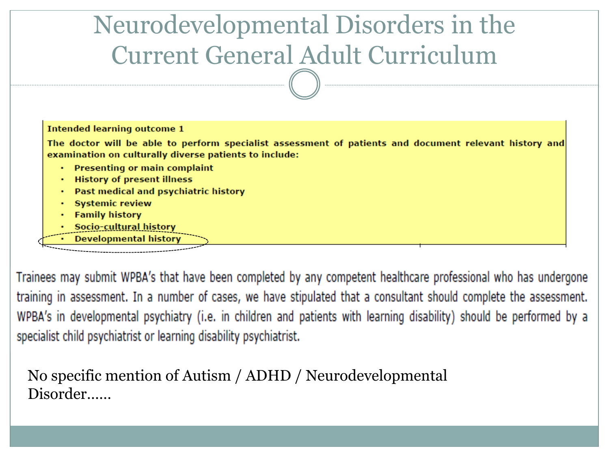| Neurodevelopmental Disorders in the |
|-------------------------------------|
| Current General Adult Curriculum    |

| <b>Intended learning outcome 1</b>                                                                                                                               |
|------------------------------------------------------------------------------------------------------------------------------------------------------------------|
| The doctor will be able to perform specialist assessment of patients and document relevant history and<br>examination on culturally diverse patients to include: |
| • Presenting or main complaint                                                                                                                                   |
| <b>History of present illness</b><br>٠                                                                                                                           |
| Past medical and psychiatric history<br>٠                                                                                                                        |
| <b>Systemic review</b>                                                                                                                                           |
| <b>Family history</b>                                                                                                                                            |
| Socio-cultural history                                                                                                                                           |
| <b>Developmental history</b>                                                                                                                                     |
|                                                                                                                                                                  |

Trainees may submit WPBA's that have been completed by any competent healthcare professional who has undergone training in assessment. In a number of cases, we have stipulated that a consultant should complete the assessment. WPBA's in developmental psychiatry (i.e. in children and patients with learning disability) should be performed by a specialist child psychiatrist or learning disability psychiatrist.

No specific mention of Autism / ADHD / Neurodevelopmental Disorder……